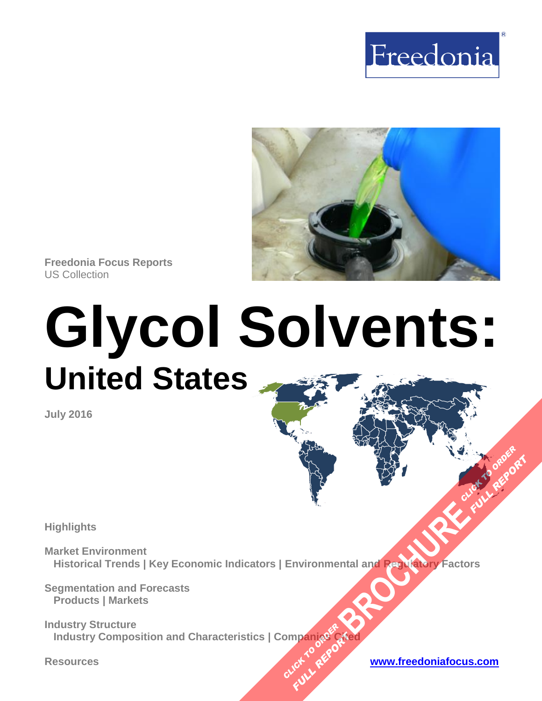



**Freedonia Focus Reports** US Collection

# **Glycol Solvents: United States**

**July 2016**

**Highlights**

**Market Environment Historical Trends | Key Economic Indicators | Environmental and Regulatory Factors [BROCHURE](http://www.freedoniagroup.com/FocusDetails.aspx?ReferrerId=FM-FocusBro&ReportID=FF35084) AND CLICK TO ORDER** 

**Segmentation and Forecasts Products | Markets**

**Industry Structure Industry Composition and Characteristics | Companies Cited OMPanjages Plance City** 

**Resources [www.freedoniafocus.com](http://www.freedoniagroup.com/FocusReports.aspx?ReferrerId=FM-FocusBro)**

**FULL REPORT**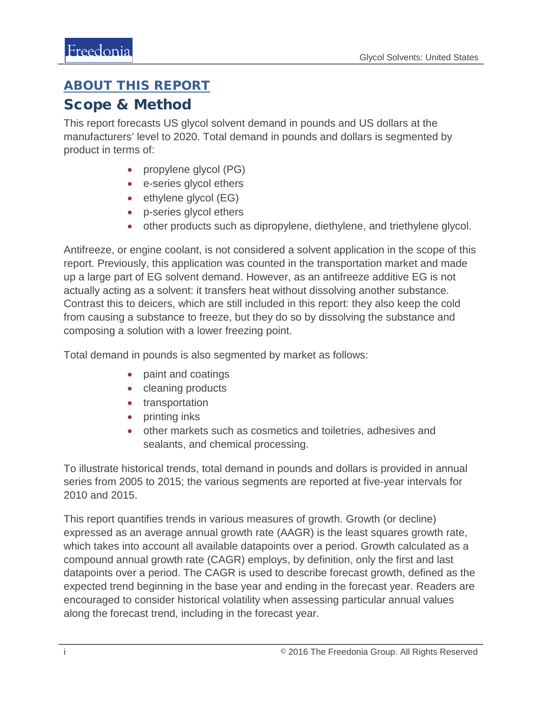## <span id="page-1-0"></span>ABOUT THIS REPORT

## Scope & Method

This report forecasts US glycol solvent demand in pounds and US dollars at the manufacturers' level to 2020. Total demand in pounds and dollars is segmented by product in terms of:

- propylene glycol (PG)
- e-series glycol ethers
- ethylene glycol (EG)
- p-series glycol ethers
- other products such as dipropylene, diethylene, and triethylene glycol.

Antifreeze, or engine coolant, is not considered a solvent application in the scope of this report. Previously, this application was counted in the transportation market and made up a large part of EG solvent demand. However, as an antifreeze additive EG is not actually acting as a solvent: it transfers heat without dissolving another substance. Contrast this to deicers, which are still included in this report: they also keep the cold from causing a substance to freeze, but they do so by dissolving the substance and composing a solution with a lower freezing point.

Total demand in pounds is also segmented by market as follows:

- paint and coatings
- cleaning products
- transportation
- printing inks
- other markets such as cosmetics and toiletries, adhesives and sealants, and chemical processing.

To illustrate historical trends, total demand in pounds and dollars is provided in annual series from 2005 to 2015; the various segments are reported at five-year intervals for 2010 and 2015.

This report quantifies trends in various measures of growth. Growth (or decline) expressed as an average annual growth rate (AAGR) is the least squares growth rate, which takes into account all available datapoints over a period. Growth calculated as a compound annual growth rate (CAGR) employs, by definition, only the first and last datapoints over a period. The CAGR is used to describe forecast growth, defined as the expected trend beginning in the base year and ending in the forecast year. Readers are encouraged to consider historical volatility when assessing particular annual values along the forecast trend, including in the forecast year.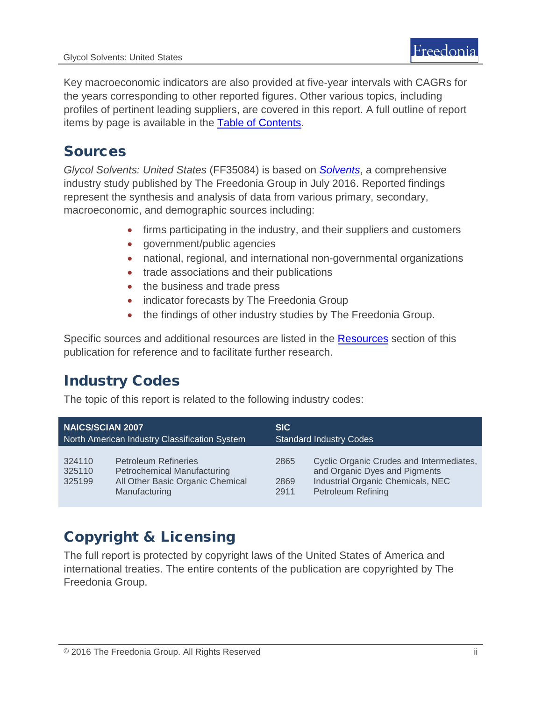Key macroeconomic indicators are also provided at five-year intervals with CAGRs for the years corresponding to other reported figures. Other various topics, including profiles of pertinent leading suppliers, are covered in this report. A full outline of report items by page is available in the [Table of Contents.](#page-3-0)

## Sources

*Glycol Solvents: United States* (FF35084) is based on *[Solvents](http://www.freedoniagroup.com/DocumentDetails.aspx?ReferrerId=FL-FOCUS&studyid=3429)*, a comprehensive industry study published by The Freedonia Group in July 2016. Reported findings represent the synthesis and analysis of data from various primary, secondary, macroeconomic, and demographic sources including:

- firms participating in the industry, and their suppliers and customers
- government/public agencies
- national, regional, and international non-governmental organizations
- trade associations and their publications
- the business and trade press
- indicator forecasts by The Freedonia Group
- the findings of other industry studies by The Freedonia Group.

Specific sources and additional resources are listed in the [Resources](#page-4-0) section of this publication for reference and to facilitate further research.

## Industry Codes

The topic of this report is related to the following industry codes:

| <b>NAICS/SCIAN 2007</b>                       |                                                                                                                        | <b>SIC</b>                     |                                                                                                                                             |
|-----------------------------------------------|------------------------------------------------------------------------------------------------------------------------|--------------------------------|---------------------------------------------------------------------------------------------------------------------------------------------|
| North American Industry Classification System |                                                                                                                        | <b>Standard Industry Codes</b> |                                                                                                                                             |
| 324110<br>325110<br>325199                    | <b>Petroleum Refineries</b><br><b>Petrochemical Manufacturing</b><br>All Other Basic Organic Chemical<br>Manufacturing | 2865<br>2869<br>2911           | Cyclic Organic Crudes and Intermediates,<br>and Organic Dyes and Pigments<br>Industrial Organic Chemicals, NEC<br><b>Petroleum Refining</b> |

## Copyright & Licensing

The full report is protected by copyright laws of the United States of America and international treaties. The entire contents of the publication are copyrighted by The Freedonia Group.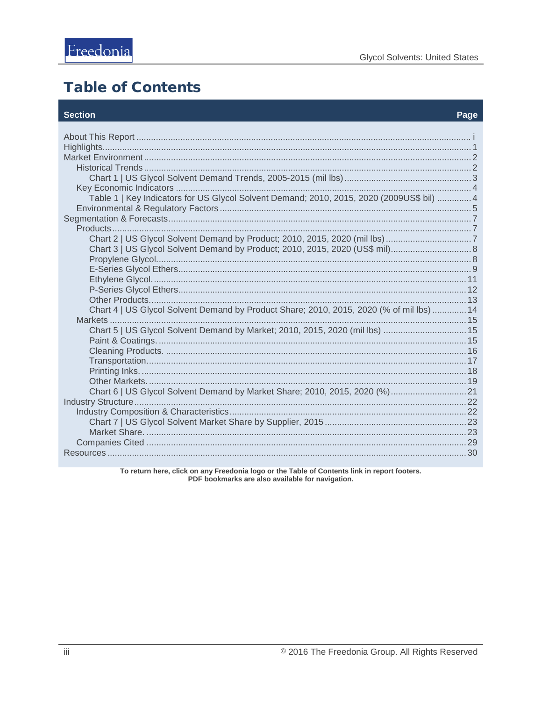## <span id="page-3-0"></span>**Table of Contents**

#### **Section**

### Page

| Table 1   Key Indicators for US Glycol Solvent Demand; 2010, 2015, 2020 (2009US\$ bil)  4 |  |
|-------------------------------------------------------------------------------------------|--|
|                                                                                           |  |
|                                                                                           |  |
|                                                                                           |  |
|                                                                                           |  |
|                                                                                           |  |
|                                                                                           |  |
|                                                                                           |  |
|                                                                                           |  |
|                                                                                           |  |
|                                                                                           |  |
| Chart 4   US Glycol Solvent Demand by Product Share; 2010, 2015, 2020 (% of mil lbs)  14  |  |
|                                                                                           |  |
| Chart 5   US Glycol Solvent Demand by Market; 2010, 2015, 2020 (mil lbs)  15              |  |
|                                                                                           |  |
|                                                                                           |  |
|                                                                                           |  |
|                                                                                           |  |
|                                                                                           |  |
| Chart 6   US Glycol Solvent Demand by Market Share; 2010, 2015, 2020 (%) 21               |  |
|                                                                                           |  |
|                                                                                           |  |
|                                                                                           |  |
|                                                                                           |  |
|                                                                                           |  |
|                                                                                           |  |
|                                                                                           |  |

To return here, click on any Freedonia logo or the Table of Contents link in report footers.<br>PDF bookmarks are also available for navigation.